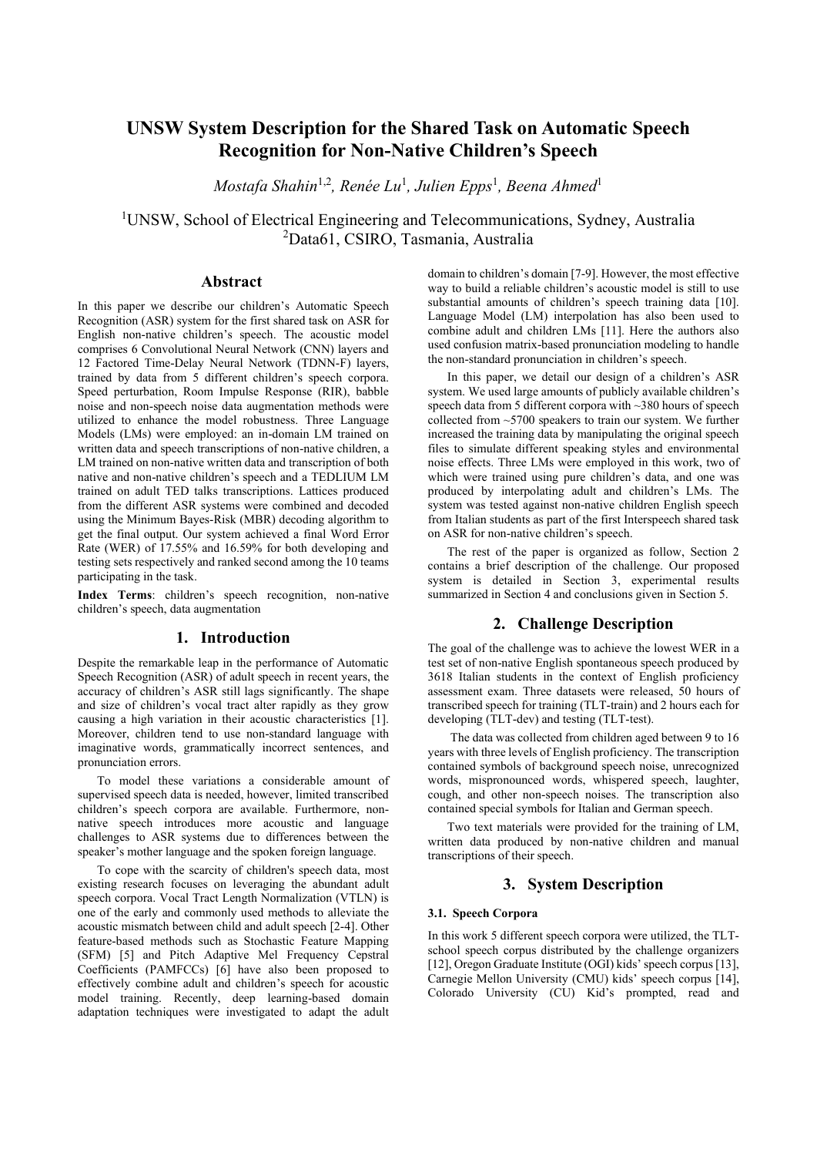# **UNSW System Description for the Shared Task on Automatic Speech Recognition for Non-Native Children's Speech**

*Mostafa Shahin*1,2 *, Renée Lu*<sup>1</sup> *, Julien Epps*<sup>1</sup> *, Beena Ahmed*<sup>1</sup>

<sup>1</sup>UNSW, School of Electrical Engineering and Telecommunications, Sydney, Australia <sup>2</sup>Data61, CSIRO, Tasmania, Australia

# **Abstract**

In this paper we describe our children's Automatic Speech Recognition (ASR) system for the first shared task on ASR for English non-native children's speech. The acoustic model comprises 6 Convolutional Neural Network (CNN) layers and 12 Factored Time-Delay Neural Network (TDNN-F) layers, trained by data from 5 different children's speech corpora. Speed perturbation, Room Impulse Response (RIR), babble noise and non-speech noise data augmentation methods were utilized to enhance the model robustness. Three Language Models (LMs) were employed: an in-domain LM trained on written data and speech transcriptions of non-native children, a LM trained on non-native written data and transcription of both native and non-native children's speech and a TEDLIUM LM trained on adult TED talks transcriptions. Lattices produced from the different ASR systems were combined and decoded using the Minimum Bayes-Risk (MBR) decoding algorithm to get the final output. Our system achieved a final Word Error Rate (WER) of 17.55% and 16.59% for both developing and testing sets respectively and ranked second among the 10 teams participating in the task.

**Index Terms**: children's speech recognition, non-native children's speech, data augmentation

### **1. Introduction**

Despite the remarkable leap in the performance of Automatic Speech Recognition (ASR) of adult speech in recent years, the accuracy of children's ASR still lags significantly. The shape and size of children's vocal tract alter rapidly as they grow causing a high variation in their acoustic characteristics [1]. Moreover, children tend to use non-standard language with imaginative words, grammatically incorrect sentences, and pronunciation errors.

To model these variations a considerable amount of supervised speech data is needed, however, limited transcribed children's speech corpora are available. Furthermore, nonnative speech introduces more acoustic and language challenges to ASR systems due to differences between the speaker's mother language and the spoken foreign language.

To cope with the scarcity of children's speech data, most existing research focuses on leveraging the abundant adult speech corpora. Vocal Tract Length Normalization (VTLN) is one of the early and commonly used methods to alleviate the acoustic mismatch between child and adult speech [2-4]. Other feature-based methods such as Stochastic Feature Mapping (SFM) [5] and Pitch Adaptive Mel Frequency Cepstral Coefficients (PAMFCCs) [6] have also been proposed to effectively combine adult and children's speech for acoustic model training. Recently, deep learning-based domain adaptation techniques were investigated to adapt the adult domain to children's domain [7-9]. However, the most effective way to build a reliable children's acoustic model is still to use substantial amounts of children's speech training data [10]. Language Model (LM) interpolation has also been used to combine adult and children LMs [11]. Here the authors also used confusion matrix-based pronunciation modeling to handle the non-standard pronunciation in children's speech.

In this paper, we detail our design of a children's ASR system. We used large amounts of publicly available children's speech data from 5 different corpora with ~380 hours of speech collected from ~5700 speakers to train our system. We further increased the training data by manipulating the original speech files to simulate different speaking styles and environmental noise effects. Three LMs were employed in this work, two of which were trained using pure children's data, and one was produced by interpolating adult and children's LMs. The system was tested against non-native children English speech from Italian students as part of the first Interspeech shared task on ASR for non-native children's speech.

The rest of the paper is organized as follow, Section 2 contains a brief description of the challenge. Our proposed system is detailed in Section 3, experimental results summarized in Section 4 and conclusions given in Section 5.

# **2. Challenge Description**

The goal of the challenge was to achieve the lowest WER in a test set of non-native English spontaneous speech produced by 3618 Italian students in the context of English proficiency assessment exam. Three datasets were released, 50 hours of transcribed speech for training (TLT-train) and 2 hours each for developing (TLT-dev) and testing (TLT-test).

The data was collected from children aged between 9 to 16 years with three levels of English proficiency. The transcription contained symbols of background speech noise, unrecognized words, mispronounced words, whispered speech, laughter, cough, and other non-speech noises. The transcription also contained special symbols for Italian and German speech.

Two text materials were provided for the training of LM, written data produced by non-native children and manual transcriptions of their speech.

# **3. System Description**

### **3.1. Speech Corpora**

In this work 5 different speech corpora were utilized, the TLTschool speech corpus distributed by the challenge organizers [12], Oregon Graduate Institute (OGI) kids' speech corpus [13], Carnegie Mellon University (CMU) kids' speech corpus [14], Colorado University (CU) Kid's prompted, read and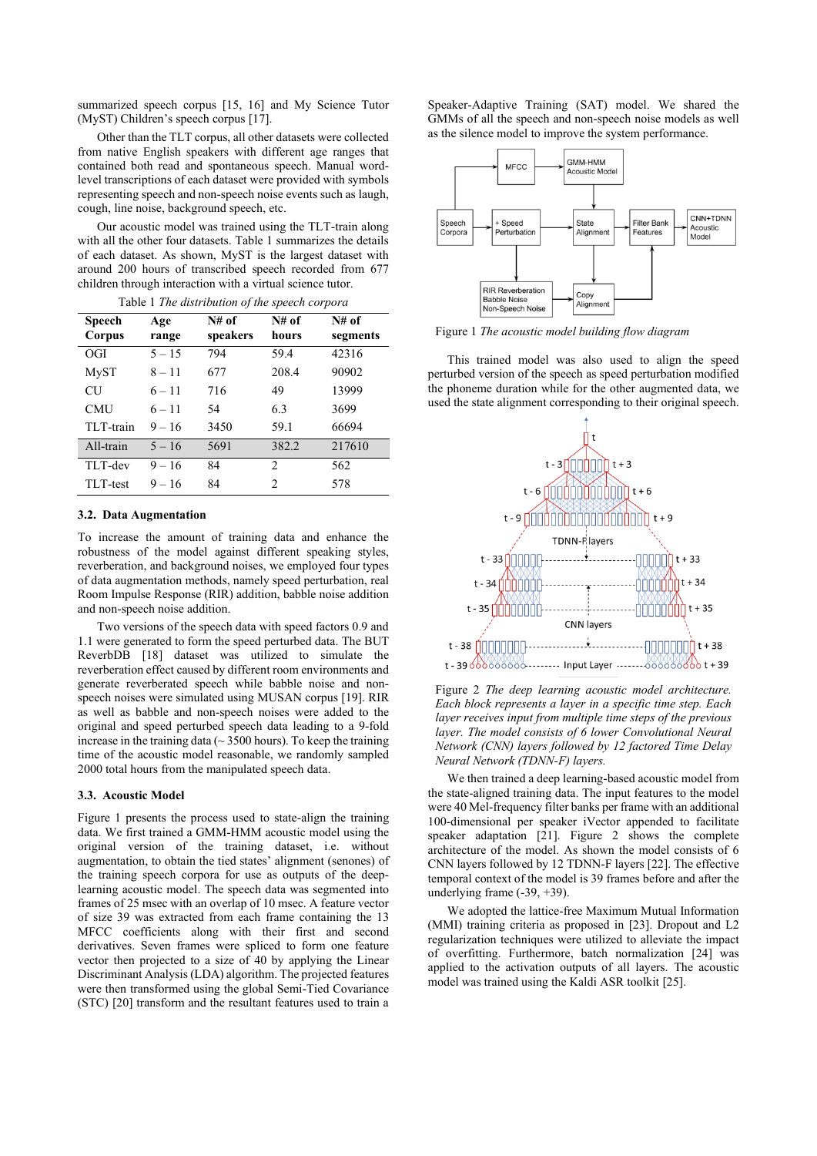summarized speech corpus [15, 16] and My Science Tutor (MyST) Children's speech corpus [17].

Other than the TLT corpus, all other datasets were collected from native English speakers with different age ranges that contained both read and spontaneous speech. Manual wordlevel transcriptions of each dataset were provided with symbols representing speech and non-speech noise events such as laugh, cough, line noise, background speech, etc.

Our acoustic model was trained using the TLT-train along with all the other four datasets. [Table 1](#page-1-0) summarizes the details of each dataset. As shown, MyST is the largest dataset with around 200 hours of transcribed speech recorded from 677 children through interaction with a virtual science tutor.

<span id="page-1-0"></span>

| <b>Speech</b><br>Corpus | Age<br>range | $N#$ of<br>speakers | $N#$ of<br>hours | $N#$ of<br>segments |
|-------------------------|--------------|---------------------|------------------|---------------------|
| OGI                     | $5 - 15$     | 794                 | 59.4             | 42316               |
| MyST                    | $8 - 11$     | 677                 | 208.4            | 90902               |
| <b>CU</b>               | $6 - 11$     | 716                 | 49               | 13999               |
| <b>CMU</b>              | $6 - 11$     | 54                  | 6.3              | 3699                |
| TLT-train               | $9 - 16$     | 3450                | 59.1             | 66694               |
| All-train               | $5 - 16$     | 5691                | 382.2            | 217610              |
| TLT-dev                 | $9 - 16$     | 84                  | $\mathfrak{D}$   | 562                 |
| TLT-test                | $9 - 16$     | 84                  | $\mathfrak{D}$   | 578                 |

Table 1 *The distribution of the speech corpora*

#### <span id="page-1-3"></span>**3.2. Data Augmentation**

To increase the amount of training data and enhance the robustness of the model against different speaking styles, reverberation, and background noises, we employed four types of data augmentation methods, namely speed perturbation, real Room Impulse Response (RIR) addition, babble noise addition and non-speech noise addition.

Two versions of the speech data with speed factors 0.9 and 1.1 were generated to form the speed perturbed data. The BUT ReverbDB [18] dataset was utilized to simulate the reverberation effect caused by different room environments and generate reverberated speech while babble noise and nonspeech noises were simulated using MUSAN corpus [19]. RIR as well as babble and non-speech noises were added to the original and speed perturbed speech data leading to a 9-fold increase in the training data ( $\sim$  3500 hours). To keep the training time of the acoustic model reasonable, we randomly sampled 2000 total hours from the manipulated speech data.

### **3.3. Acoustic Model**

[Figure 1](#page-1-1) presents the process used to state-align the training data. We first trained a GMM-HMM acoustic model using the original version of the training dataset, i.e. without augmentation, to obtain the tied states' alignment (senones) of the training speech corpora for use as outputs of the deeplearning acoustic model. The speech data was segmented into frames of 25 msec with an overlap of 10 msec. A feature vector of size 39 was extracted from each frame containing the 13 MFCC coefficients along with their first and second derivatives. Seven frames were spliced to form one feature vector then projected to a size of 40 by applying the Linear Discriminant Analysis (LDA) algorithm. The projected features were then transformed using the global Semi-Tied Covariance (STC) [20] transform and the resultant features used to train a

Speaker-Adaptive Training (SAT) model. We shared the GMMs of all the speech and non-speech noise models as well as the silence model to improve the system performance.



<span id="page-1-1"></span>Figure 1 *The acoustic model building flow diagram*

This trained model was also used to align the speed perturbed version of the speech as speed perturbation modified the phoneme duration while for the other augmented data, we used the state alignment corresponding to their original speech.



<span id="page-1-2"></span>Figure 2 *The deep learning acoustic model architecture. Each block represents a layer in a specific time step. Each layer receives input from multiple time steps of the previous layer. The model consists of 6 lower Convolutional Neural Network (CNN) layers followed by 12 factored Time Delay Neural Network (TDNN-F) layers.*

We then trained a deep learning-based acoustic model from the state-aligned training data. The input features to the model were 40 Mel-frequency filter banks per frame with an additional 100-dimensional per speaker iVector appended to facilitate speaker adaptation [21]. [Figure 2](#page-1-2) shows the complete architecture of the model. As shown the model consists of 6 CNN layers followed by 12 TDNN-F layers [22]. The effective temporal context of the model is 39 frames before and after the underlying frame (-39, +39).

We adopted the lattice-free Maximum Mutual Information (MMI) training criteria as proposed in [23]. Dropout and L2 regularization techniques were utilized to alleviate the impact of overfitting. Furthermore, batch normalization [24] was applied to the activation outputs of all layers. The acoustic model was trained using the Kaldi ASR toolkit [25].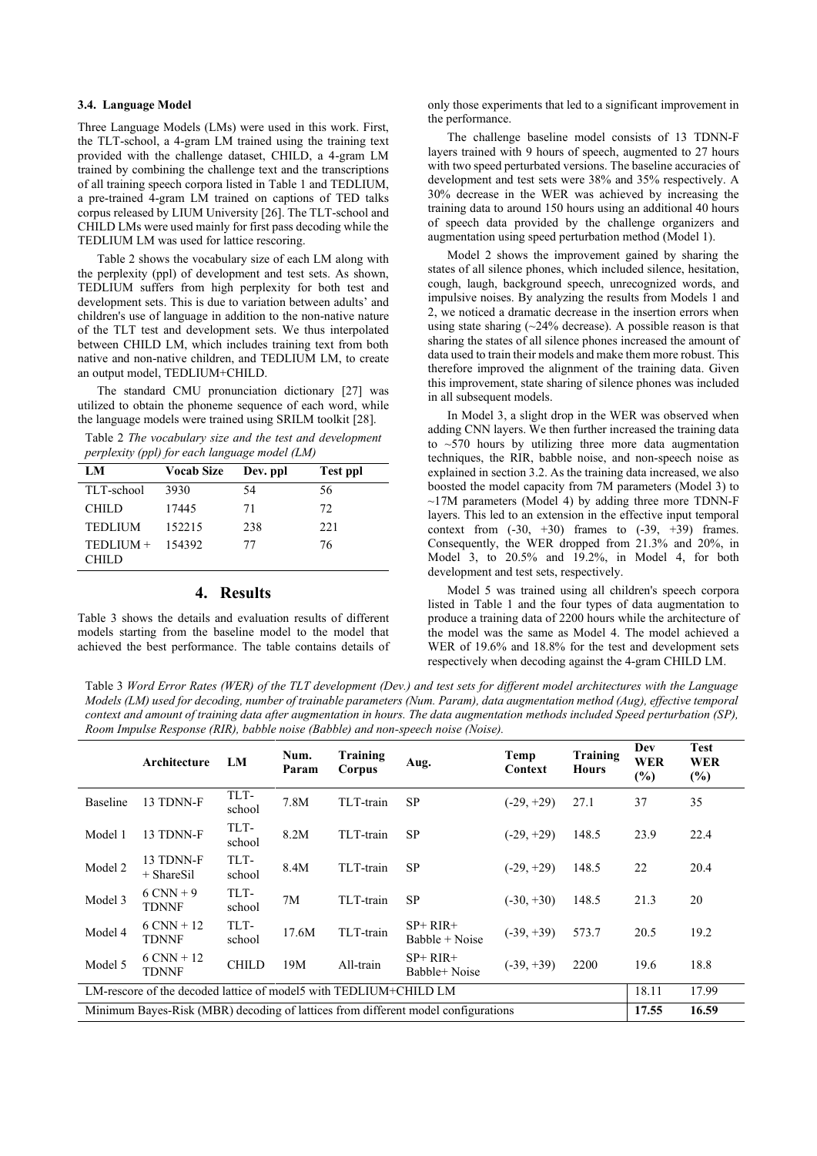### **3.4. Language Model**

Three Language Models (LMs) were used in this work. First, the TLT-school, a 4-gram LM trained using the training text provided with the challenge dataset, CHILD, a 4-gram LM trained by combining the challenge text and the transcriptions of all training speech corpora listed in [Table 1](#page-1-0) and TEDLIUM, a pre-trained 4-gram LM trained on captions of TED talks corpus released by LIUM University [26]. The TLT-school and CHILD LMs were used mainly for first pass decoding while the TEDLIUM LM was used for lattice rescoring.

[Table 2](#page-2-0) shows the vocabulary size of each LM along with the perplexity (ppl) of development and test sets. As shown, TEDLIUM suffers from high perplexity for both test and development sets. This is due to variation between adults' and children's use of language in addition to the non-native nature of the TLT test and development sets. We thus interpolated between CHILD LM, which includes training text from both native and non-native children, and TEDLIUM LM, to create an output model, TEDLIUM+CHILD.

The standard CMU pronunciation dictionary [27] was utilized to obtain the phoneme sequence of each word, while the language models were trained using SRILM toolkit [28].

<span id="page-2-0"></span>Table 2 *The vocabulary size and the test and development perplexity (ppl) for each language model (LM)*

| LM                 | <b>Vocab Size</b> | Dev. ppl | <b>Test ppl</b> |
|--------------------|-------------------|----------|-----------------|
| TLT-school         | 3930              | 54       | 56              |
| <b>CHILD</b>       | 17445             | 71       | 72              |
| <b>TEDLIUM</b>     | 152215            | 238      | 22.1            |
| $TEDLIUM + 154392$ |                   | 77       | 76              |
| CHILD              |                   |          |                 |

### **4. Results**

[Table 3](#page-2-1) shows the details and evaluation results of different models starting from the baseline model to the model that achieved the best performance. The table contains details of only those experiments that led to a significant improvement in the performance.

The challenge baseline model consists of 13 TDNN-F layers trained with 9 hours of speech, augmented to 27 hours with two speed perturbated versions. The baseline accuracies of development and test sets were 38% and 35% respectively. A 30% decrease in the WER was achieved by increasing the training data to around 150 hours using an additional 40 hours of speech data provided by the challenge organizers and augmentation using speed perturbation method (Model 1).

Model 2 shows the improvement gained by sharing the states of all silence phones, which included silence, hesitation, cough, laugh, background speech, unrecognized words, and impulsive noises. By analyzing the results from Models 1 and 2, we noticed a dramatic decrease in the insertion errors when using state sharing  $(\sim 24\%$  decrease). A possible reason is that sharing the states of all silence phones increased the amount of data used to train their models and make them more robust. This therefore improved the alignment of the training data. Given this improvement, state sharing of silence phones was included in all subsequent models.

In Model 3, a slight drop in the WER was observed when adding CNN layers. We then further increased the training data to  $\sim$  570 hours by utilizing three more data augmentation techniques, the RIR, babble noise, and non-speech noise as explained in sectio[n 3.2.](#page-1-3) As the training data increased, we also boosted the model capacity from 7M parameters (Model 3) to  $\sim$ 17M parameters (Model 4) by adding three more TDNN-F layers. This led to an extension in the effective input temporal context from  $(-30, +30)$  frames to  $(-39, +39)$  frames. Consequently, the WER dropped from 21.3% and 20%, in Model 3, to 20.5% and 19.2%, in Model 4, for both development and test sets, respectively.

Model 5 was trained using all children's speech corpora listed in [Table 1](#page-1-0) and the four types of data augmentation to produce a training data of 2200 hours while the architecture of the model was the same as Model 4. The model achieved a WER of 19.6% and 18.8% for the test and development sets respectively when decoding against the 4-gram CHILD LM.

<span id="page-2-1"></span>Table 3 *Word Error Rates (WER) of the TLT development (Dev.) and test sets for different model architectures with the Language Models (LM) used for decoding, number of trainable parameters (Num. Param), data augmentation method (Aug), effective temporal context and amount of training data after augmentation in hours. The data augmentation methods included Speed perturbation (SP), Room Impulse Response (RIR), babble noise (Babble) and non-speech noise (Noise).* 

|                                                                                   | Architecture                 | LM             | Num.<br>Param | Training<br>Corpus | Aug.                          | Temp<br>Context | Training<br><b>Hours</b> | Dev<br><b>WER</b><br>$(\%)$ | <b>Test</b><br><b>WER</b><br>$(\%)$ |
|-----------------------------------------------------------------------------------|------------------------------|----------------|---------------|--------------------|-------------------------------|-----------------|--------------------------|-----------------------------|-------------------------------------|
| Baseline                                                                          | 13 TDNN-F                    | TLT-<br>school | 7.8M          | TLT-train          | <b>SP</b>                     | $(-29, +29)$    | 27.1                     | 37                          | 35                                  |
| Model 1                                                                           | 13 TDNN-F                    | TLT-<br>school | 8.2M          | TLT-train          | <b>SP</b>                     | $(-29, +29)$    | 148.5                    | 23.9                        | 22.4                                |
| Model 2                                                                           | 13 TDNN-F<br>$+$ ShareSil    | TLT-<br>school | 8.4M          | TLT-train          | <b>SP</b>                     | $(-29, +29)$    | 148.5                    | 22                          | 20.4                                |
| Model 3                                                                           | $6$ CNN + 9<br><b>TDNNF</b>  | TLT-<br>school | 7M            | TLT-train          | <b>SP</b>                     | $(-30, +30)$    | 148.5                    | 21.3                        | 20                                  |
| Model 4                                                                           | $6$ CNN + 12<br><b>TDNNF</b> | TLT-<br>school | 17.6M         | TLT-train          | $SP+ RIR+$<br>$Bable + Noise$ | $(-39, +39)$    | 573.7                    | 20.5                        | 19.2                                |
| Model 5                                                                           | $6$ CNN + 12<br>TDNNF        | <b>CHILD</b>   | 19M           | All-train          | $SP+ RIR+$<br>Babble+Noise    | $(-39, +39)$    | 2200                     | 19.6                        | 18.8                                |
| LM-rescore of the decoded lattice of model5 with TEDLIUM+CHILD LM                 |                              |                |               |                    |                               |                 | 18.11                    | 17.99                       |                                     |
| Minimum Bayes-Risk (MBR) decoding of lattices from different model configurations |                              |                |               |                    |                               |                 | 17.55                    | 16.59                       |                                     |